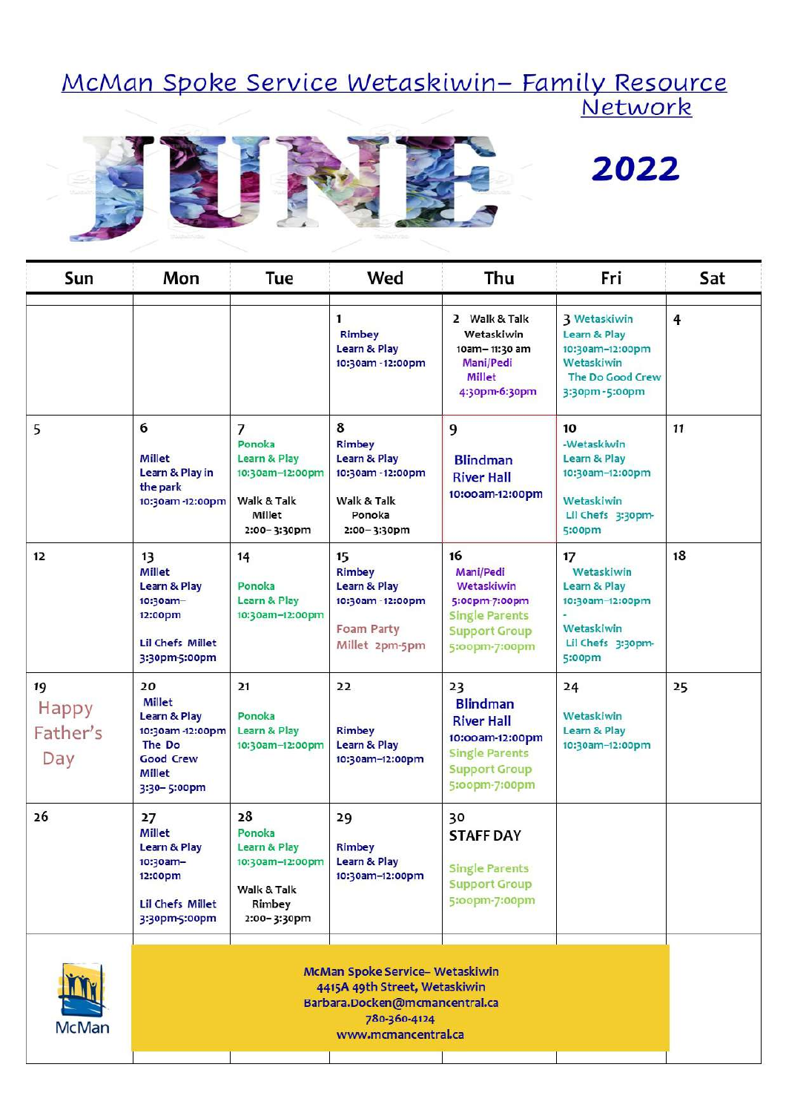# <u> McMan Spoke Service Wetaskiwin– Family Resource</u><br>Network



## 2022

| Sun                            | Mon                                                                                                                                              | Tue                                                                                                 | Wed                                                                                                        | Thu                                                                                                                             | Fri                                                                                                       | Sat            |  |
|--------------------------------|--------------------------------------------------------------------------------------------------------------------------------------------------|-----------------------------------------------------------------------------------------------------|------------------------------------------------------------------------------------------------------------|---------------------------------------------------------------------------------------------------------------------------------|-----------------------------------------------------------------------------------------------------------|----------------|--|
|                                |                                                                                                                                                  |                                                                                                     | $\mathbf{1}$<br><b>Rimbey</b><br><b>Learn &amp; Play</b><br>10:30am - 12:00pm                              | 2 Walk & Talk<br>Wetaskiwin<br>10am-11:30 am<br>Mani/Pedi<br><b>Millet</b><br>4:30pm-6:30pm                                     | <b>3 Wetaskiwin</b><br>Learn & Play<br>10:30am-12:00pm<br>Wetaskiwin<br>The Do Good Crew<br>3:30pm-5:00pm | $\overline{4}$ |  |
| 5                              | 6<br>Millet<br>Learn & Play in<br>the park<br>10:30am-12:00pm                                                                                    | $\overline{7}$<br>Ponoka<br>Learn & Play<br>10:30am-12:00pm<br>Walk & Talk<br>Millet<br>2:00-3:30pm | 8<br><b>Rimbey</b><br><b>Learn &amp; Play</b><br>10:30am - 12:00pm<br>Walk & Talk<br>Ponoka<br>2:00-3:30pm | 9<br><b>Blindman</b><br><b>River Hall</b><br>10:00am-12:00pm                                                                    | 10<br>-Wetaskiwin<br>Learn & Play<br>10:30am-12:00pm<br>Wetaskiwin<br>Lil Chefs 3:30pm-<br>5:00pm         | 11             |  |
| 12                             | 13<br><b>Millet</b><br>Learn & Play<br>10:30am-<br>12:00pm<br><b>Lil Chefs Millet</b><br>3:30pm-5:00pm                                           | 14<br>Ponoka<br>Learn & Play<br>10:30am-12:00pm                                                     | 15<br><b>Rimbey</b><br><b>Learn &amp; Play</b><br>10:30am - 12:00pm<br>Foam Party<br>Millet 2pm-5pm        | 16<br><b>Mani/Pedi</b><br>Wetaskiwin<br>5:00pm-7:00pm<br><b>Single Parents</b><br><b>Support Group</b><br>5:00pm-7:00pm         | 17<br>Wetaskiwin<br>Learn & Play<br>10:30am-12:00pm<br>Wetaskiwin<br>Lil Chefs 3:30pm-<br>5:00pm          | 18             |  |
| 19<br>Happy<br>Father's<br>Day | 20<br>Millet<br>Learn & Play<br>10:30am-12:00pm<br>The Do<br><b>Good Crew</b><br><b>Millet</b><br>3:30-5:00pm                                    | 21<br>Ponoka<br><b>Learn &amp; Play</b><br>10:30am-12:00pm                                          | 22<br><b>Rimbey</b><br><b>Learn &amp; Play</b><br>10:30am-12:00pm                                          | 23<br><b>Blindman</b><br><b>River Hall</b><br>10:00am-12:00pm<br><b>Single Parents</b><br><b>Support Group</b><br>5:00pm-7:00pm | 24<br>Wetaskiwin<br>Learn & Play<br>10:30am-12:00pm                                                       | 25             |  |
| 26                             | 27<br><b>Millet</b><br>Learn & Play<br>10:30am-<br>12:00pm<br><b>Lil Chefs Millet</b><br>3:30pm-5:00pm                                           | 28<br>Ponoka<br><b>Learn &amp; Play</b><br>10:30am-12:00pm<br>Walk & Talk<br>Rimbey<br>2:00-3:30pm  | 29<br><b>Rimbey</b><br>Learn & Play<br>10:30am-12:00pm                                                     | 30<br><b>STAFF DAY</b><br><b>Single Parents</b><br><b>Support Group</b><br>5:00pm-7:00pm                                        |                                                                                                           |                |  |
| <b>McMan</b>                   | <b>McMan Spoke Service- Wetaskiwin</b><br>4415A 49th Street, Wetaskiwin<br>Barbara.Docken@mcmancentral.ca<br>780-360-4124<br>www.mcmancentral.ca |                                                                                                     |                                                                                                            |                                                                                                                                 |                                                                                                           |                |  |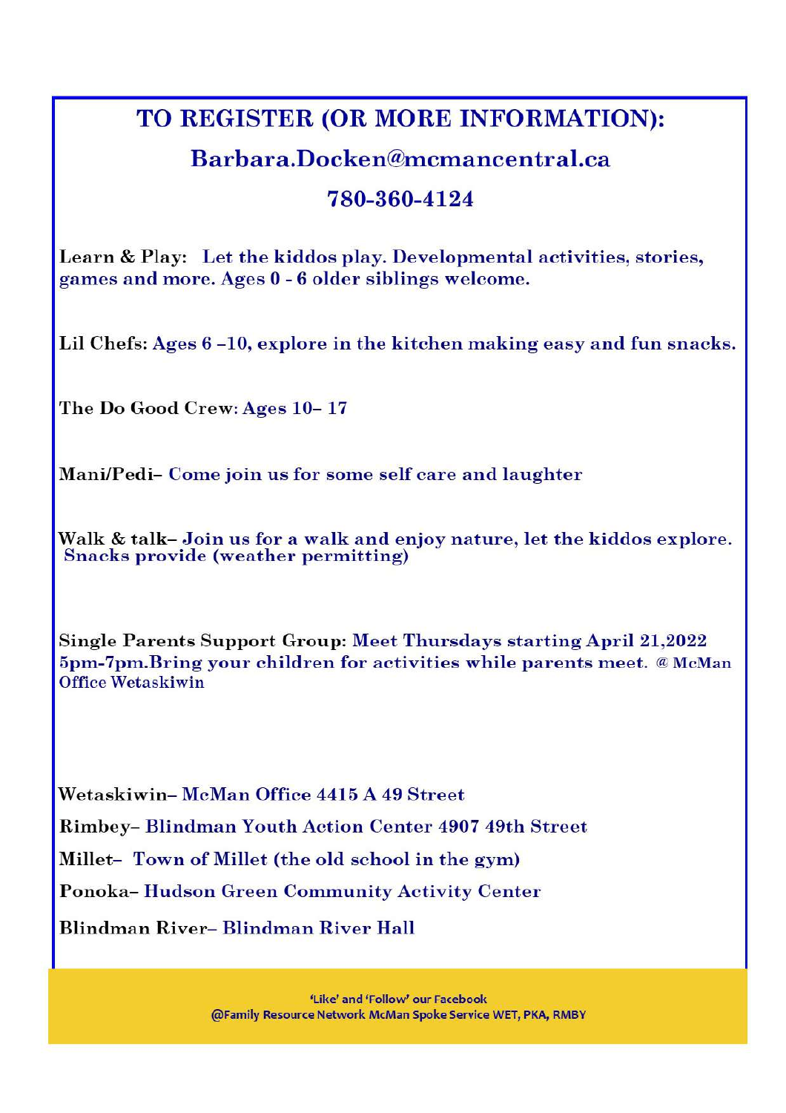#### TO REGISTER (OR MORE INFORMATION):

#### Barbara, Docken@mcmancentral.ca

#### 780-360-4124

Learn & Play: Let the kiddos play. Developmental activities, stories, games and more. Ages 0 - 6 older siblings welcome.

Lil Chefs: Ages 6-10, explore in the kitchen making easy and fun snacks.

The Do Good Crew: Ages 10-17

Mani/Pedi- Come join us for some self care and laughter

Walk & talk-Join us for a walk and enjoy nature, let the kiddos explore. **Snacks provide (weather permitting)** 

Single Parents Support Group: Meet Thursdays starting April 21,2022 5pm-7pm. Bring your children for activities while parents meet. @ McMan **Office Wetaskiwin** 

Wetaskiwin-McMan Office 4415 A 49 Street

Rimbey- Blindman Youth Action Center 4907 49th Street

Millet-Town of Millet (the old school in the gym)

Ponoka-Hudson Green Community Activity Center

Blindman River-Blindman River Hall

'Like' and 'Follow' our Facebook @Family Resource Network McMan Spoke Service WET, PKA, RMBY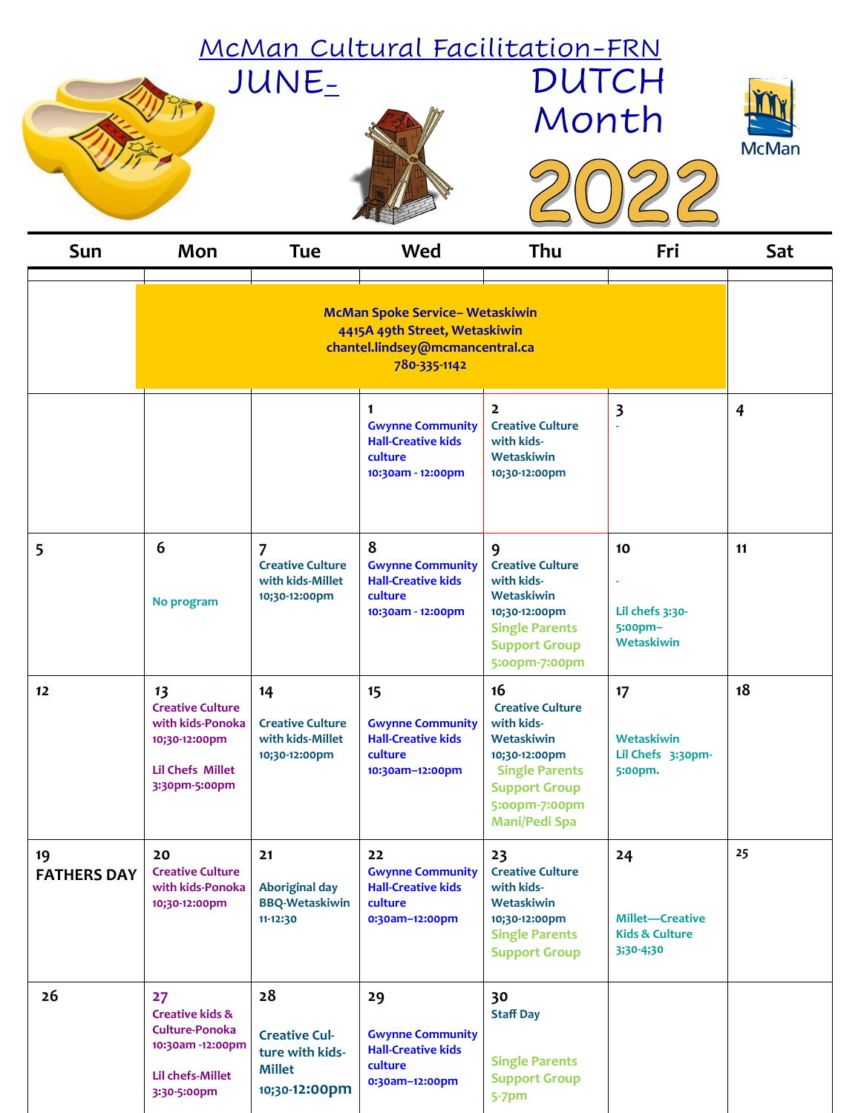|                                                                                                                            | JUNE-                                                                                                          |                                                                                 |                                                                                                     | <u>McMan Cultural Facilitation-FRN</u><br><b>DUTCH</b><br>Month                                                                                                      |                                                                        |                |  |
|----------------------------------------------------------------------------------------------------------------------------|----------------------------------------------------------------------------------------------------------------|---------------------------------------------------------------------------------|-----------------------------------------------------------------------------------------------------|----------------------------------------------------------------------------------------------------------------------------------------------------------------------|------------------------------------------------------------------------|----------------|--|
| Sun                                                                                                                        | Mon                                                                                                            | <b>Tue</b>                                                                      | Wed                                                                                                 | Thu                                                                                                                                                                  | Fri                                                                    | Sat            |  |
| <b>McMan Spoke Service- Wetaskiwin</b><br>4415A 49th Street, Wetaskiwin<br>chantel.lindsey@mcmancentral.ca<br>780-335-1142 |                                                                                                                |                                                                                 |                                                                                                     |                                                                                                                                                                      |                                                                        |                |  |
|                                                                                                                            |                                                                                                                |                                                                                 | $\mathbf 1$<br><b>Gwynne Community</b><br><b>Hall-Creative kids</b><br>culture<br>10:30am - 12:00pm | $\overline{2}$<br><b>Creative Culture</b><br>with kids-<br>Wetaskiwin<br>10;30-12:00pm                                                                               | $\overline{\mathbf{3}}$                                                | $\overline{4}$ |  |
| 5                                                                                                                          | 6<br>No program                                                                                                | $\overline{7}$<br><b>Creative Culture</b><br>with kids-Millet<br>10;30-12:00pm  | 8<br><b>Gwynne Community</b><br><b>Hall-Creative kids</b><br>culture<br>10:30am - 12:00pm           | 9<br><b>Creative Culture</b><br>with kids-<br>Wetaskiwin<br>10;30-12:00pm<br><b>Single Parents</b><br><b>Support Group</b><br>5:00pm-7:00pm                          | 10<br>Lil chefs 3:30-<br>5:00pm-<br>Wetaskiwin                         | 11             |  |
| 12                                                                                                                         | 13<br><b>Creative Culture</b><br>with kids-Ponoka<br>10;30-12:00pm<br><b>Lil Chefs Millet</b><br>3:30pm-5:00pm | 14<br><b>Creative Culture</b><br>with kids-Millet<br>10;30-12:00pm              | 15<br><b>Gwynne Community</b><br><b>Hall-Creative kids</b><br>culture<br>10:30am-12:00pm            | 16<br><b>Creative Culture</b><br>with kids-<br>Wetaskiwin<br>10;30-12:00pm<br><b>Single Parents</b><br><b>Support Group</b><br>5:00pm-7:00pm<br><b>Mani/Pedi Spa</b> | 17<br>Wetaskiwin<br>Lil Chefs 3:30pm-<br>5:00pm.                       | 18             |  |
| 19<br><b>FATHERS DAY</b>                                                                                                   | 20<br><b>Creative Culture</b><br>with kids-Ponoka<br>10;30-12:00pm                                             | 21<br><b>Aboriginal day</b><br><b>BBQ-Wetaskiwin</b><br>11-12:30                | 22<br><b>Gwynne Community</b><br><b>Hall-Creative kids</b><br>culture<br>0:30am-12:00pm             | 23<br><b>Creative Culture</b><br>with kids-<br>Wetaskiwin<br>10;30-12:00pm<br><b>Single Parents</b><br><b>Support Group</b>                                          | 24<br><b>Millet-Creative</b><br><b>Kids &amp; Culture</b><br>3;30-4;30 | 25             |  |
| 26                                                                                                                         | 27<br><b>Creative kids &amp;</b><br>Culture-Ponoka<br>10:30am -12:00pm<br>Lil chefs-Millet<br>3:30-5:00pm      | 28<br><b>Creative Cul-</b><br>ture with kids-<br><b>Millet</b><br>10;30-12:00pm | 29<br><b>Gwynne Community</b><br><b>Hall-Creative kids</b><br>culture<br>0:30am-12:00pm             | 30<br><b>Staff Day</b><br><b>Single Parents</b><br><b>Support Group</b><br>$5-7$ pm                                                                                  |                                                                        |                |  |